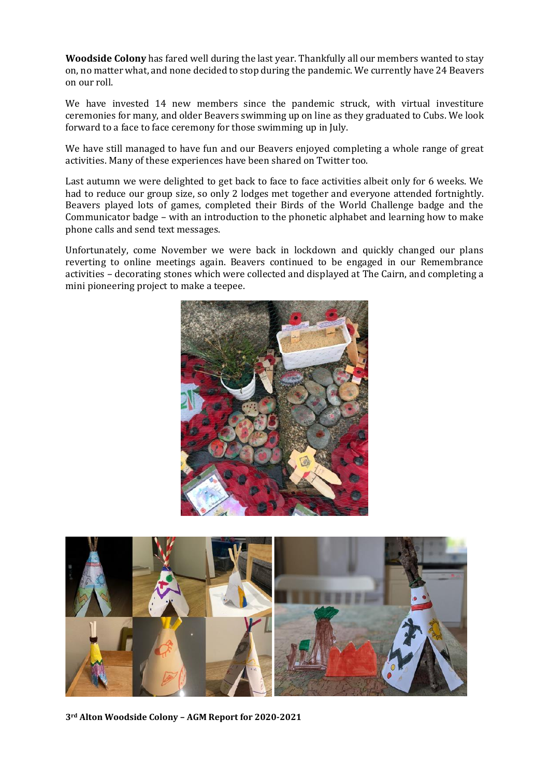**Woodside Colony** has fared well during the last year. Thankfully all our members wanted to stay on, no matter what, and none decided to stop during the pandemic. We currently have 24 Beavers on our roll.

We have invested 14 new members since the pandemic struck, with virtual investiture ceremonies for many, and older Beavers swimming up on line as they graduated to Cubs. We look forward to a face to face ceremony for those swimming up in July.

We have still managed to have fun and our Beavers enjoyed completing a whole range of great activities. Many of these experiences have been shared on Twitter too.

Last autumn we were delighted to get back to face to face activities albeit only for 6 weeks. We had to reduce our group size, so only 2 lodges met together and everyone attended fortnightly. Beavers played lots of games, completed their Birds of the World Challenge badge and the Communicator badge – with an introduction to the phonetic alphabet and learning how to make phone calls and send text messages.

Unfortunately, come November we were back in lockdown and quickly changed our plans reverting to online meetings again. Beavers continued to be engaged in our Remembrance activities – decorating stones which were collected and displayed at The Cairn, and completing a mini pioneering project to make a teepee.





**3rd Alton Woodside Colony – AGM Report for 2020-2021**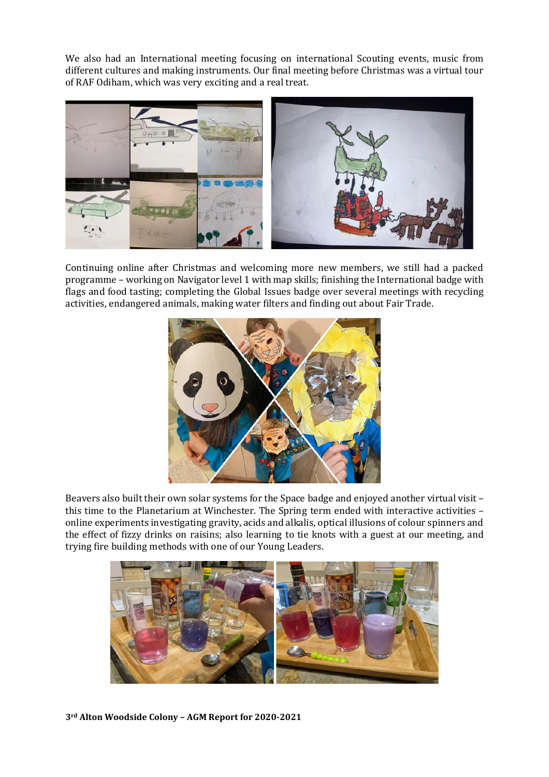We also had an International meeting focusing on international Scouting events, music from different cultures and making instruments. Our final meeting before Christmas was a virtual tour of RAF Odiham, which was very exciting and a real treat.



Continuing online after Christmas and welcoming more new members, we still had a packed programme – working on Navigator level 1 with map skills; finishing the International badge with flags and food tasting; completing the Global Issues badge over several meetings with recycling activities, endangered animals, making water filters and finding out about Fair Trade.



Beavers also built their own solar systems for the Space badge and enjoyed another virtual visit – this time to the Planetarium at Winchester. The Spring term ended with interactive activities – online experiments investigating gravity, acids and alkalis, optical illusions of colour spinners and the effect of fizzy drinks on raisins; also learning to tie knots with a guest at our meeting, and trying fire building methods with one of our Young Leaders.